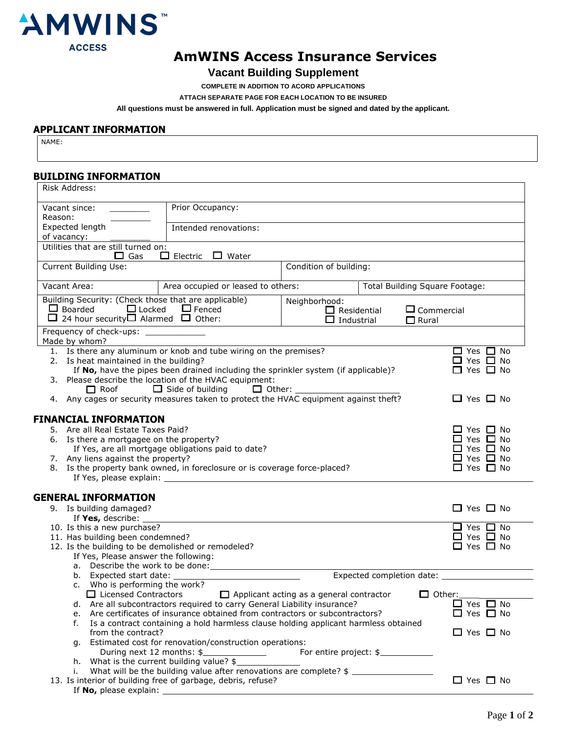

# **AmWINS Access Insurance Services**

## **Vacant Building Supplement**

**COMPLETE IN ADDITION TO ACORD APPLICATIONS**

**ATTACH SEPARATE PAGE FOR EACH LOCATION TO BE INSURED**

**All questions must be answered in full. Application must be signed and dated by the applicant.**

### **APPLICANT INFORMATION**

NAME:

#### **BUILDING INFORMATION**

| Risk Address:                                                                                                        |                                                                                                                                                        |                                         |                                 |                          |  |
|----------------------------------------------------------------------------------------------------------------------|--------------------------------------------------------------------------------------------------------------------------------------------------------|-----------------------------------------|---------------------------------|--------------------------|--|
|                                                                                                                      |                                                                                                                                                        |                                         |                                 |                          |  |
| Vacant since: National State of the Vacant since the Vacant since the Vacant State of the Vacant State of the V      | Prior Occupancy:                                                                                                                                       |                                         |                                 |                          |  |
| Reason:                                                                                                              |                                                                                                                                                        |                                         |                                 |                          |  |
| Expected length                                                                                                      | Intended renovations:                                                                                                                                  |                                         |                                 |                          |  |
| of vacancy:                                                                                                          |                                                                                                                                                        |                                         |                                 |                          |  |
| Utilities that are still turned on:                                                                                  | $\Box$ Electric $\Box$ Water                                                                                                                           |                                         |                                 |                          |  |
| $\Box$ Gas                                                                                                           |                                                                                                                                                        |                                         |                                 |                          |  |
| Current Building Use:                                                                                                |                                                                                                                                                        | Condition of building:                  |                                 |                          |  |
|                                                                                                                      |                                                                                                                                                        |                                         |                                 |                          |  |
| Vacant Area:                                                                                                         | Area occupied or leased to others:                                                                                                                     |                                         | Total Building Square Footage:  |                          |  |
| Building Security: (Check those that are applicable)<br>Neighborhood:                                                |                                                                                                                                                        |                                         |                                 |                          |  |
| $\Box$ Boarded<br>$\Box$ Locked<br>$\Box$ Fenced                                                                     |                                                                                                                                                        | $\Box$ Commercial<br>$\Box$ Residential |                                 |                          |  |
| $\Box$ 24 hour security $\Box$ Alarmed $\Box$ Other:                                                                 |                                                                                                                                                        | $\Box$ Industrial<br>$\Box$ Rural       |                                 |                          |  |
| Frequency of check-ups: _____________                                                                                |                                                                                                                                                        |                                         |                                 |                          |  |
| Made by whom?                                                                                                        |                                                                                                                                                        |                                         |                                 |                          |  |
| 1. Is there any aluminum or knob and tube wiring on the premises?                                                    |                                                                                                                                                        |                                         |                                 | $\Box$ Yes $\Box$ No     |  |
| 2. Is heat maintained in the building?                                                                               |                                                                                                                                                        |                                         |                                 | $\Box$ Yes $\Box$ No     |  |
| If No, have the pipes been drained including the sprinkler system (if applicable)?                                   | $\Box$ Yes $\Box$ No                                                                                                                                   |                                         |                                 |                          |  |
| 3. Please describe the location of the HVAC equipment:                                                               |                                                                                                                                                        |                                         |                                 |                          |  |
| $\Box$ Roof                                                                                                          |                                                                                                                                                        |                                         |                                 |                          |  |
| 4. Any cages or security measures taken to protect the HVAC equipment against theft?                                 |                                                                                                                                                        |                                         |                                 | $\Box$ Yes $\Box$ No     |  |
|                                                                                                                      |                                                                                                                                                        |                                         |                                 |                          |  |
| <b>FINANCIAL INFORMATION</b>                                                                                         |                                                                                                                                                        |                                         |                                 |                          |  |
| 5. Are all Real Estate Taxes Paid?<br>6. Is there a mortgagee on the property?                                       |                                                                                                                                                        |                                         |                                 | ∐ Yes □ No<br>□ Yes □ No |  |
| If Yes, are all mortgage obligations paid to date?                                                                   |                                                                                                                                                        |                                         |                                 | $\Box$ Yes $\Box$ No     |  |
| 7. Any liens against the property?                                                                                   |                                                                                                                                                        |                                         |                                 | $\Box$ Yes $\Box$ No     |  |
| 8. Is the property bank owned, in foreclosure or is coverage force-placed?                                           |                                                                                                                                                        |                                         |                                 | $\Box$ Yes $\Box$ No     |  |
|                                                                                                                      |                                                                                                                                                        |                                         |                                 |                          |  |
|                                                                                                                      |                                                                                                                                                        |                                         |                                 |                          |  |
| <b>GENERAL INFORMATION</b>                                                                                           |                                                                                                                                                        |                                         |                                 |                          |  |
| 9. Is building damaged?                                                                                              |                                                                                                                                                        |                                         |                                 | $\Box$ Yes $\Box$ No     |  |
| If Yes, describe: _                                                                                                  |                                                                                                                                                        |                                         |                                 |                          |  |
| 10. Is this a new purchase?                                                                                          |                                                                                                                                                        |                                         |                                 | $\Box$ Yes $\Box$ No     |  |
| 11. Has building been condemned?                                                                                     |                                                                                                                                                        |                                         |                                 | $\Box$ Yes $\Box$ No     |  |
| $\Box$ Yes $\Box$ No<br>12. Is the building to be demolished or remodeled?                                           |                                                                                                                                                        |                                         |                                 |                          |  |
| If Yes, Please answer the following:                                                                                 |                                                                                                                                                        |                                         |                                 |                          |  |
|                                                                                                                      |                                                                                                                                                        |                                         |                                 |                          |  |
| b. Expected start date: __                                                                                           |                                                                                                                                                        |                                         | Expected completion date: _____ |                          |  |
| c. Who is performing the work?                                                                                       |                                                                                                                                                        |                                         |                                 |                          |  |
| $\Box$ Licensed Contractors $\Box$ Applicant acting as a general contractor<br>$\Box$ Other:<br>$\Box$ Yes $\Box$ No |                                                                                                                                                        |                                         |                                 |                          |  |
|                                                                                                                      | d. Are all subcontractors required to carry General Liability insurance?<br>Are certificates of insurance obtained from contractors or subcontractors? |                                         |                                 |                          |  |
| e.<br>f.                                                                                                             | Is a contract containing a hold harmless clause holding applicant harmless obtained                                                                    |                                         |                                 | $\Box$ Yes $\Box$ No     |  |
|                                                                                                                      |                                                                                                                                                        |                                         |                                 | $\Box$ Yes $\Box$ No     |  |
| from the contract?<br>Estimated cost for renovation/construction operations:                                         |                                                                                                                                                        |                                         |                                 |                          |  |
| q.<br>During next 12 months: \$<br>For entire project: \$                                                            |                                                                                                                                                        |                                         |                                 |                          |  |
|                                                                                                                      |                                                                                                                                                        |                                         |                                 |                          |  |
| i.                                                                                                                   | What will be the building value after renovations are complete? $\frac{1}{2}$                                                                          |                                         |                                 |                          |  |
| 13. Is interior of building free of garbage, debris, refuse?                                                         |                                                                                                                                                        |                                         |                                 | $\Box$ Yes $\Box$ No     |  |
| If No, please explain:                                                                                               |                                                                                                                                                        |                                         |                                 |                          |  |